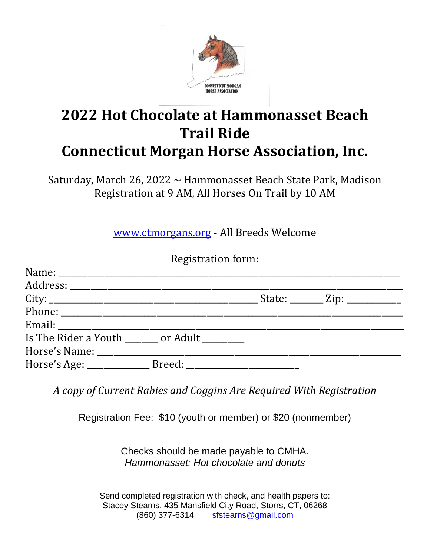

## **2022 Hot Chocolate at Hammonasset Beach Trail Ride Connecticut Morgan Horse Association, Inc.**

Saturday, March 26, 2022  $\sim$  Hammonasset Beach State Park, Madison Registration at 9 AM, All Horses On Trail by 10 AM

www.ctmorgans.org - All Breeds Welcome

## Registration form:

|                               |  | State: ________ Zip: ____________ |  |
|-------------------------------|--|-----------------------------------|--|
|                               |  |                                   |  |
|                               |  |                                   |  |
| Is The Rider a Youth or Adult |  |                                   |  |
|                               |  |                                   |  |
|                               |  |                                   |  |

*A copy of Current Rabies and Coggins Are Required With Registration*

Registration Fee: \$10 (youth or member) or \$20 (nonmember)

Checks should be made payable to CMHA. *Hammonasset: Hot chocolate and donuts*

Send completed registration with check, and health papers to: Stacey Stearns, 435 Mansfield City Road, Storrs, CT, 06268 (860) 377-6314 sfstearns@gmail.com